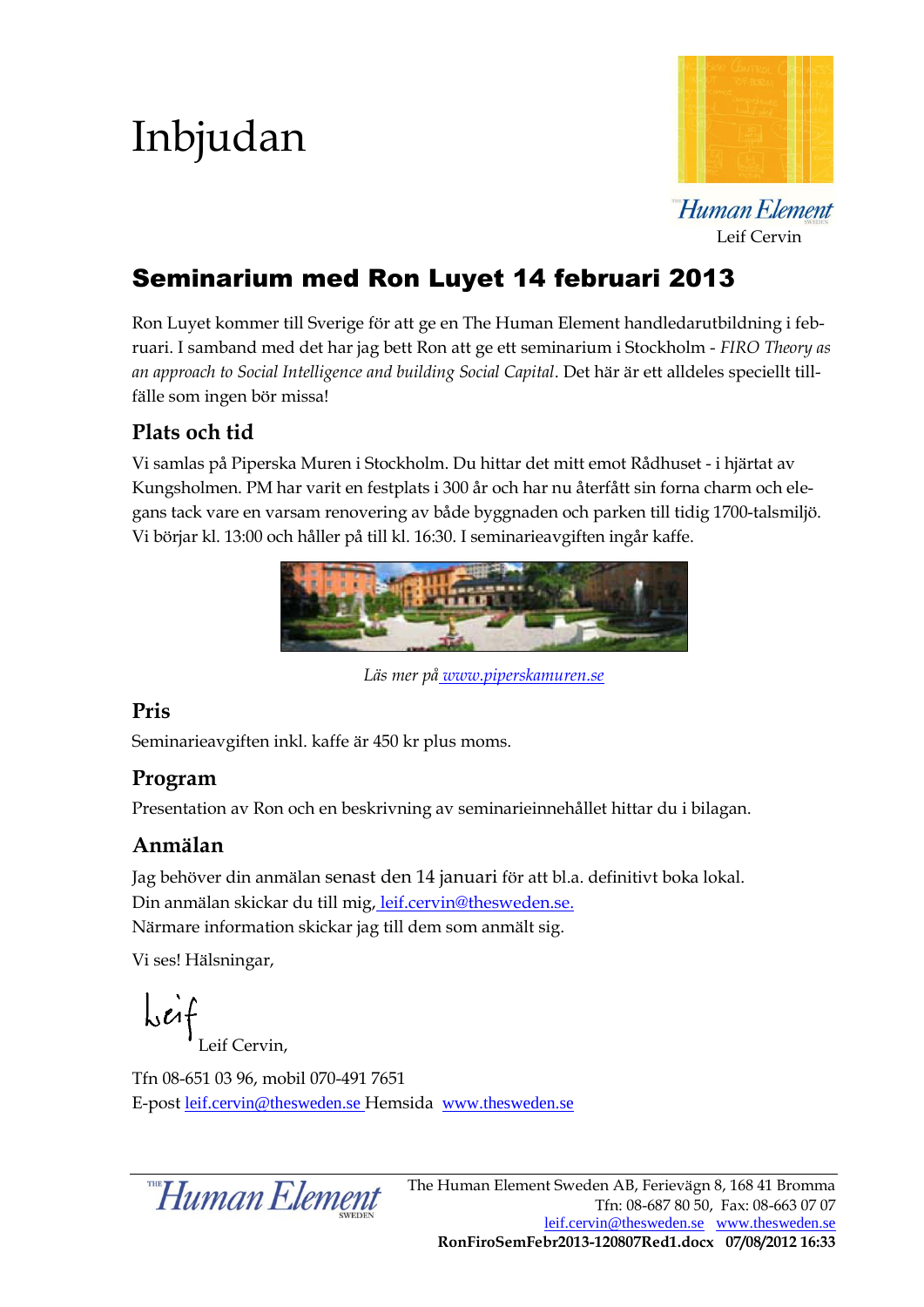# Inbjudan



Human Element Leif Cervin

## Seminarium med Ron Luyet 14 februari 2013

Ron Luyet kommer till Sverige för att ge en The Human Element handledarutbildning i februari. I samband med det har jag bett Ron att ge ett seminarium i Stockholm - *FIRO Theory as an approach to Social Intelligence and building Social Capital*. Det här är ett alldeles speciellt tillfälle som ingen bör missa!

#### **Plats och tid**

Vi samlas på Piperska Muren i Stockholm. Du hittar det mitt emot Rådhuset - i hjärtat av Kungsholmen. PM har varit en festplats i 300 år och har nu återfått sin forna charm och elegans tack vare en varsam renovering av både byggnaden och parken till tidig 1700-talsmiljö. Vi börjar kl. 13:00 och håller på till kl. 16:30. I seminarieavgiften ingår kaffe.



*Läs mer på [www.piperskamuren.se](http://www.piperskamuren.se/)*

#### **Pris**

Seminarieavgiften inkl. kaffe är 450 kr plus moms.

#### **Program**

Presentation av Ron och en beskrivning av seminarieinnehållet hittar du i bilagan.

#### **Anmälan**

Jag behöver din anmälan senast den 14 januari för att bl.a. definitivt boka lokal. Din anmälan skickar du till mig, [leif.cervin@thesweden.se.](mailto:leif.cervin@thesweden.se) Närmare information skickar jag till dem som anmält sig.

Vi ses! Hälsningar,

 $\int \int f(x) dx$ Leif Cervin,

Tfn 08-651 03 96, mobil 070-491 7651 E-post [leif.cervin@thesweden.se](mailto:leif.cervin@thesweden.se) Hemsida [www.thesweden.se](http://www.rightsinova.se/)

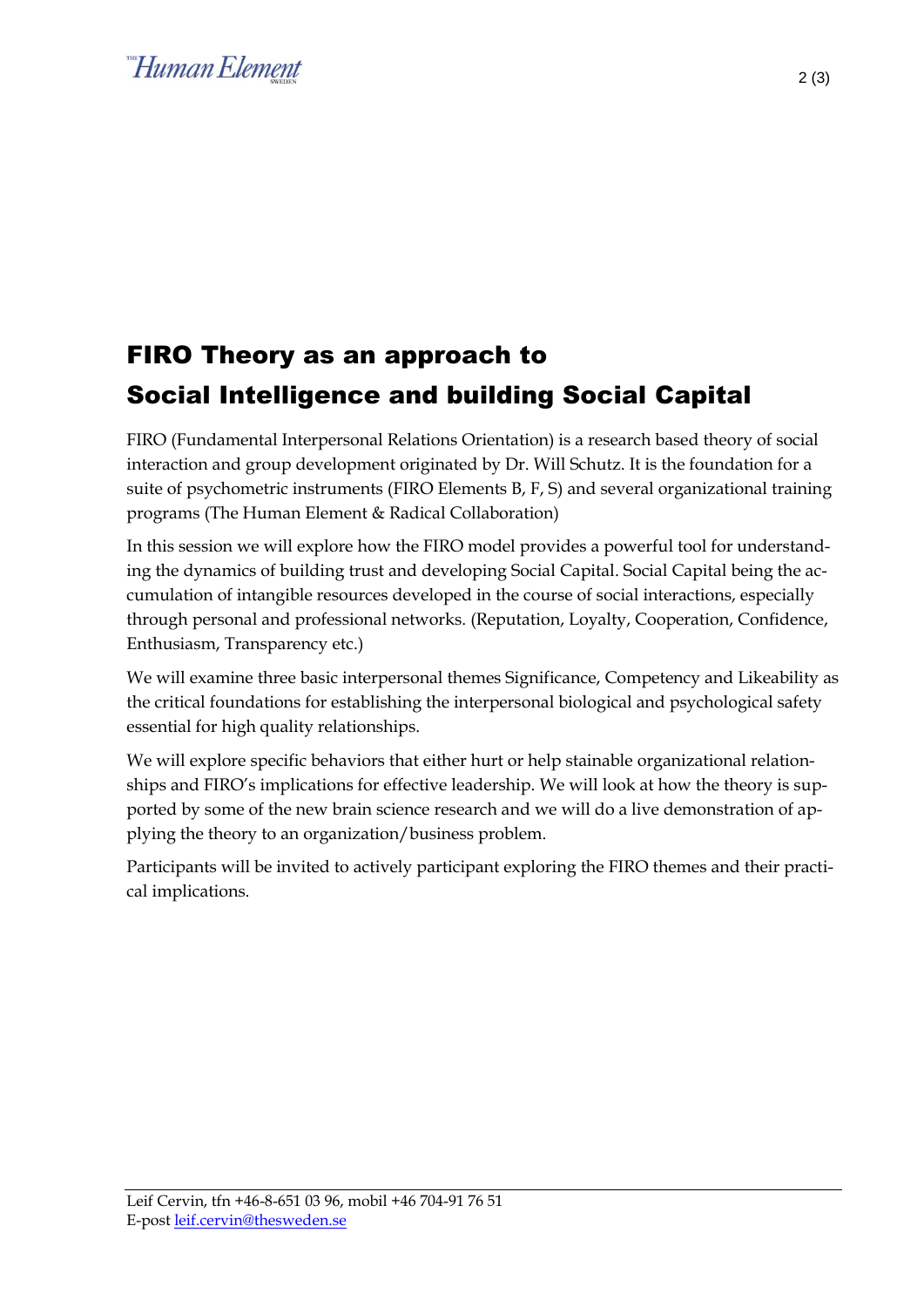## Human Element

## FIRO Theory as an approach to Social Intelligence and building Social Capital

FIRO (Fundamental Interpersonal Relations Orientation) is a research based theory of social interaction and group development originated by Dr. Will Schutz. It is the foundation for a suite of psychometric instruments (FIRO Elements B, F, S) and several organizational training programs (The Human Element & Radical Collaboration)

In this session we will explore how the FIRO model provides a powerful tool for understanding the dynamics of building trust and developing Social Capital. Social Capital being the accumulation of intangible resources developed in the course of social interactions, especially through personal and professional networks. (Reputation, Loyalty, Cooperation, Confidence, Enthusiasm, Transparency etc.)

We will examine three basic interpersonal themes Significance, Competency and Likeability as the critical foundations for establishing the interpersonal biological and psychological safety essential for high quality relationships.

We will explore specific behaviors that either hurt or help stainable organizational relationships and FIRO's implications for effective leadership. We will look at how the theory is supported by some of the new brain science research and we will do a live demonstration of applying the theory to an organization/business problem.

Participants will be invited to actively participant exploring the FIRO themes and their practical implications.